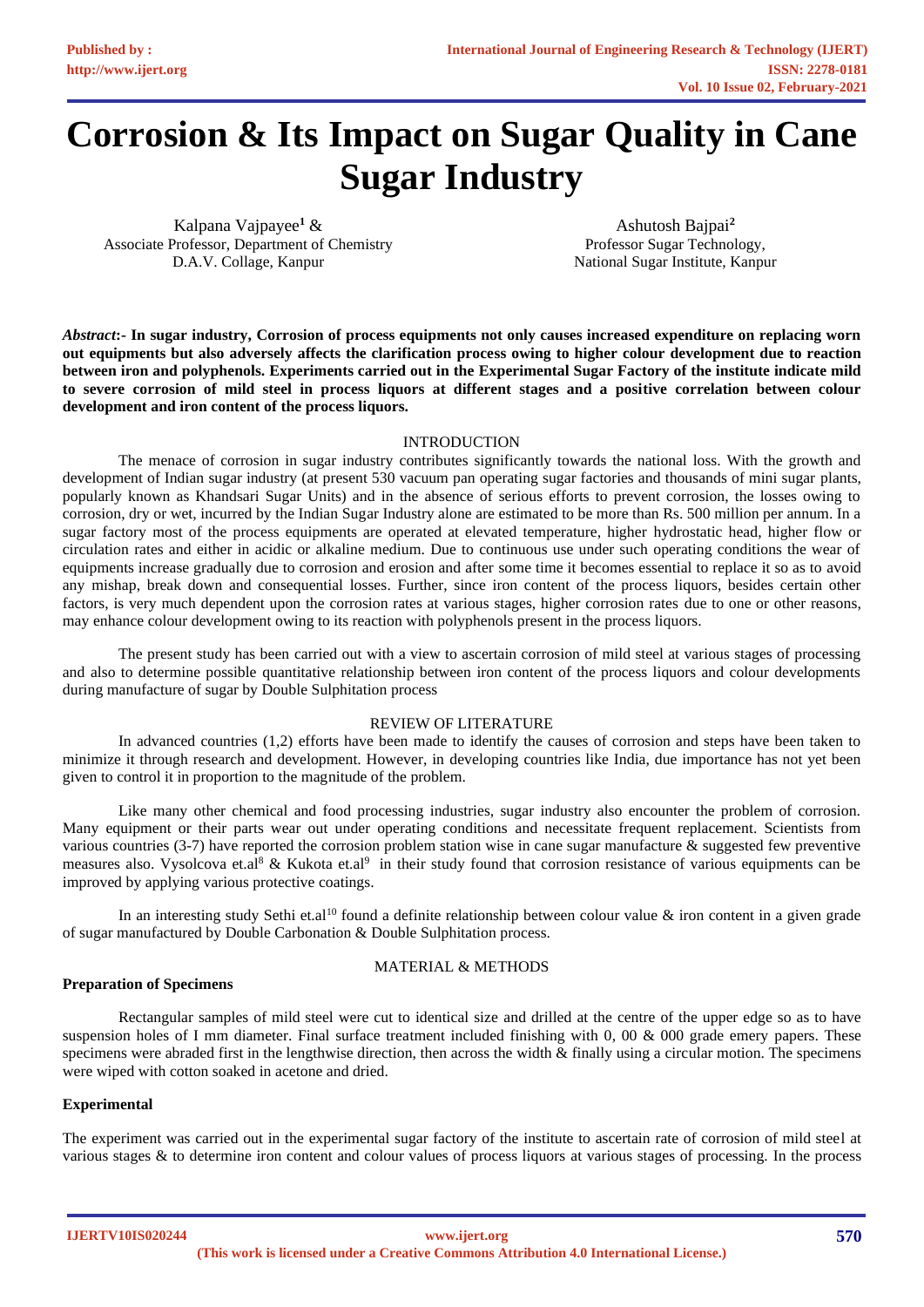# **Corrosion & Its Impact on Sugar Quality in Cane Sugar Industry**

Kalpana Vajpayee**<sup>1</sup>** & Associate Professor, Department of Chemistry D.A.V. Collage, Kanpur

Ashutosh Bajpai**<sup>2</sup>** Professor Sugar Technology, National Sugar Institute, Kanpur

*Abstract***:- In sugar industry, Corrosion of process equipments not only causes increased expenditure on replacing worn out equipments but also adversely affects the clarification process owing to higher colour development due to reaction between iron and polyphenols. Experiments carried out in the Experimental Sugar Factory of the institute indicate mild to severe corrosion of mild steel in process liquors at different stages and a positive correlation between colour development and iron content of the process liquors.**

# INTRODUCTION

The menace of corrosion in sugar industry contributes significantly towards the national loss. With the growth and development of Indian sugar industry (at present 530 vacuum pan operating sugar factories and thousands of mini sugar plants, popularly known as Khandsari Sugar Units) and in the absence of serious efforts to prevent corrosion, the losses owing to corrosion, dry or wet, incurred by the Indian Sugar Industry alone are estimated to be more than Rs. 500 million per annum. In a sugar factory most of the process equipments are operated at elevated temperature, higher hydrostatic head, higher flow or circulation rates and either in acidic or alkaline medium. Due to continuous use under such operating conditions the wear of equipments increase gradually due to corrosion and erosion and after some time it becomes essential to replace it so as to avoid any mishap, break down and consequential losses. Further, since iron content of the process liquors, besides certain other factors, is very much dependent upon the corrosion rates at various stages, higher corrosion rates due to one or other reasons, may enhance colour development owing to its reaction with polyphenols present in the process liquors.

The present study has been carried out with a view to ascertain corrosion of mild steel at various stages of processing and also to determine possible quantitative relationship between iron content of the process liquors and colour developments during manufacture of sugar by Double Sulphitation process

#### REVIEW OF LITERATURE

In advanced countries (1,2) efforts have been made to identify the causes of corrosion and steps have been taken to minimize it through research and development. However, in developing countries like India, due importance has not yet been given to control it in proportion to the magnitude of the problem.

Like many other chemical and food processing industries, sugar industry also encounter the problem of corrosion. Many equipment or their parts wear out under operating conditions and necessitate frequent replacement. Scientists from various countries (3-7) have reported the corrosion problem station wise in cane sugar manufacture & suggested few preventive measures also. Vysolcova et.al<sup>8</sup> & Kukota et.al<sup>9</sup> in their study found that corrosion resistance of various equipments can be improved by applying various protective coatings.

In an interesting study Sethi et.al<sup>10</sup> found a definite relationship between colour value  $\&$  iron content in a given grade of sugar manufactured by Double Carbonation & Double Sulphitation process.

# **Preparation of Specimens**

# MATERIAL & METHODS

Rectangular samples of mild steel were cut to identical size and drilled at the centre of the upper edge so as to have suspension holes of I mm diameter. Final surface treatment included finishing with 0, 00 & 000 grade emery papers. These specimens were abraded first in the lengthwise direction, then across the width & finally using a circular motion. The specimens were wiped with cotton soaked in acetone and dried.

# **Experimental**

The experiment was carried out in the experimental sugar factory of the institute to ascertain rate of corrosion of mild steel at various stages & to determine iron content and colour values of process liquors at various stages of processing. In the process

**IJERTV10IS020244**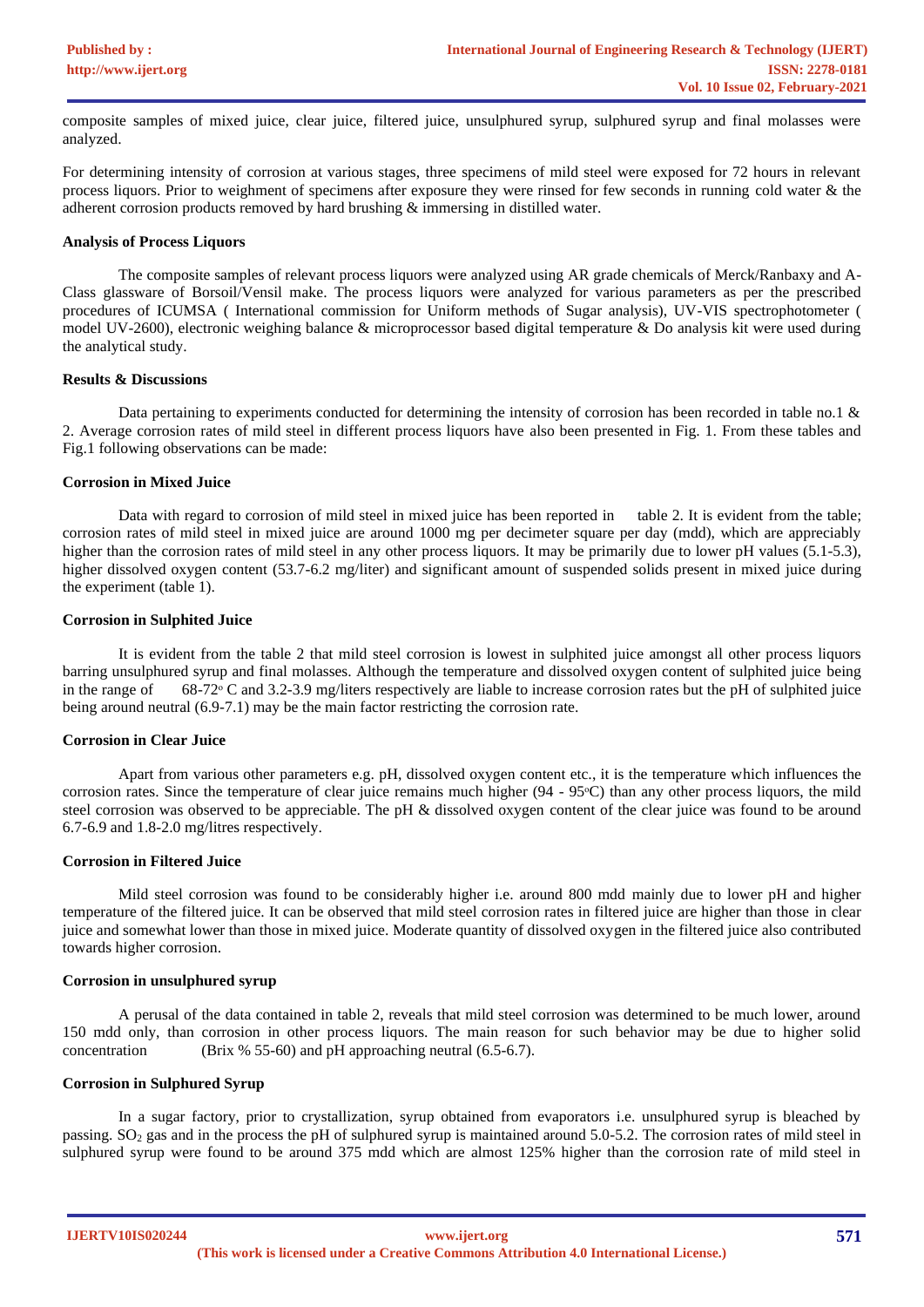composite samples of mixed juice, clear juice, filtered juice, unsulphured syrup, sulphured syrup and final molasses were analyzed.

For determining intensity of corrosion at various stages, three specimens of mild steel were exposed for 72 hours in relevant process liquors. Prior to weighment of specimens after exposure they were rinsed for few seconds in running cold water & the adherent corrosion products removed by hard brushing & immersing in distilled water.

#### **Analysis of Process Liquors**

The composite samples of relevant process liquors were analyzed using AR grade chemicals of Merck/Ranbaxy and A-Class glassware of Borsoil/Vensil make. The process liquors were analyzed for various parameters as per the prescribed procedures of ICUMSA ( International commission for Uniform methods of Sugar analysis), UV-VIS spectrophotometer ( model UV-2600), electronic weighing balance & microprocessor based digital temperature & Do analysis kit were used during the analytical study.

#### **Results & Discussions**

Data pertaining to experiments conducted for determining the intensity of corrosion has been recorded in table no.1 & 2. Average corrosion rates of mild steel in different process liquors have also been presented in Fig. 1. From these tables and Fig.1 following observations can be made:

#### **Corrosion in Mixed Juice**

Data with regard to corrosion of mild steel in mixed juice has been reported in table 2. It is evident from the table; corrosion rates of mild steel in mixed juice are around 1000 mg per decimeter square per day (mdd), which are appreciably higher than the corrosion rates of mild steel in any other process liquors. It may be primarily due to lower pH values (5.1-5.3), higher dissolved oxygen content (53.7-6.2 mg/liter) and significant amount of suspended solids present in mixed juice during the experiment (table 1).

#### **Corrosion in Sulphited Juice**

It is evident from the table 2 that mild steel corrosion is lowest in sulphited juice amongst all other process liquors barring unsulphured syrup and final molasses. Although the temperature and dissolved oxygen content of sulphited juice being in the range of  $68\text{-}72\text{-}$  C and 3.2-3.9 mg/liters respectively are liable to increase corrosion rates but the pH of sulphited juice being around neutral (6.9-7.1) may be the main factor restricting the corrosion rate.

# **Corrosion in Clear Juice**

Apart from various other parameters e.g. pH, dissolved oxygen content etc., it is the temperature which influences the corrosion rates. Since the temperature of clear juice remains much higher (94 - 95ᵒC) than any other process liquors, the mild steel corrosion was observed to be appreciable. The pH  $\&$  dissolved oxygen content of the clear juice was found to be around 6.7-6.9 and 1.8-2.0 mg/litres respectively.

# **Corrosion in Filtered Juice**

Mild steel corrosion was found to be considerably higher i.e. around 800 mdd mainly due to lower pH and higher temperature of the filtered juice. It can be observed that mild steel corrosion rates in filtered juice are higher than those in clear juice and somewhat lower than those in mixed juice. Moderate quantity of dissolved oxygen in the filtered juice also contributed towards higher corrosion.

#### **Corrosion in unsulphured syrup**

A perusal of the data contained in table 2, reveals that mild steel corrosion was determined to be much lower, around 150 mdd only, than corrosion in other process liquors. The main reason for such behavior may be due to higher solid concentration (Brix % 55-60) and pH approaching neutral (6.5-6.7).

# **Corrosion in Sulphured Syrup**

In a sugar factory, prior to crystallization, syrup obtained from evaporators i.e. unsulphured syrup is bleached by passing.  $SO<sub>2</sub>$  gas and in the process the pH of sulphured syrup is maintained around 5.0-5.2. The corrosion rates of mild steel in sulphured syrup were found to be around 375 mdd which are almost 125% higher than the corrosion rate of mild steel in

**IJERTV10IS020244**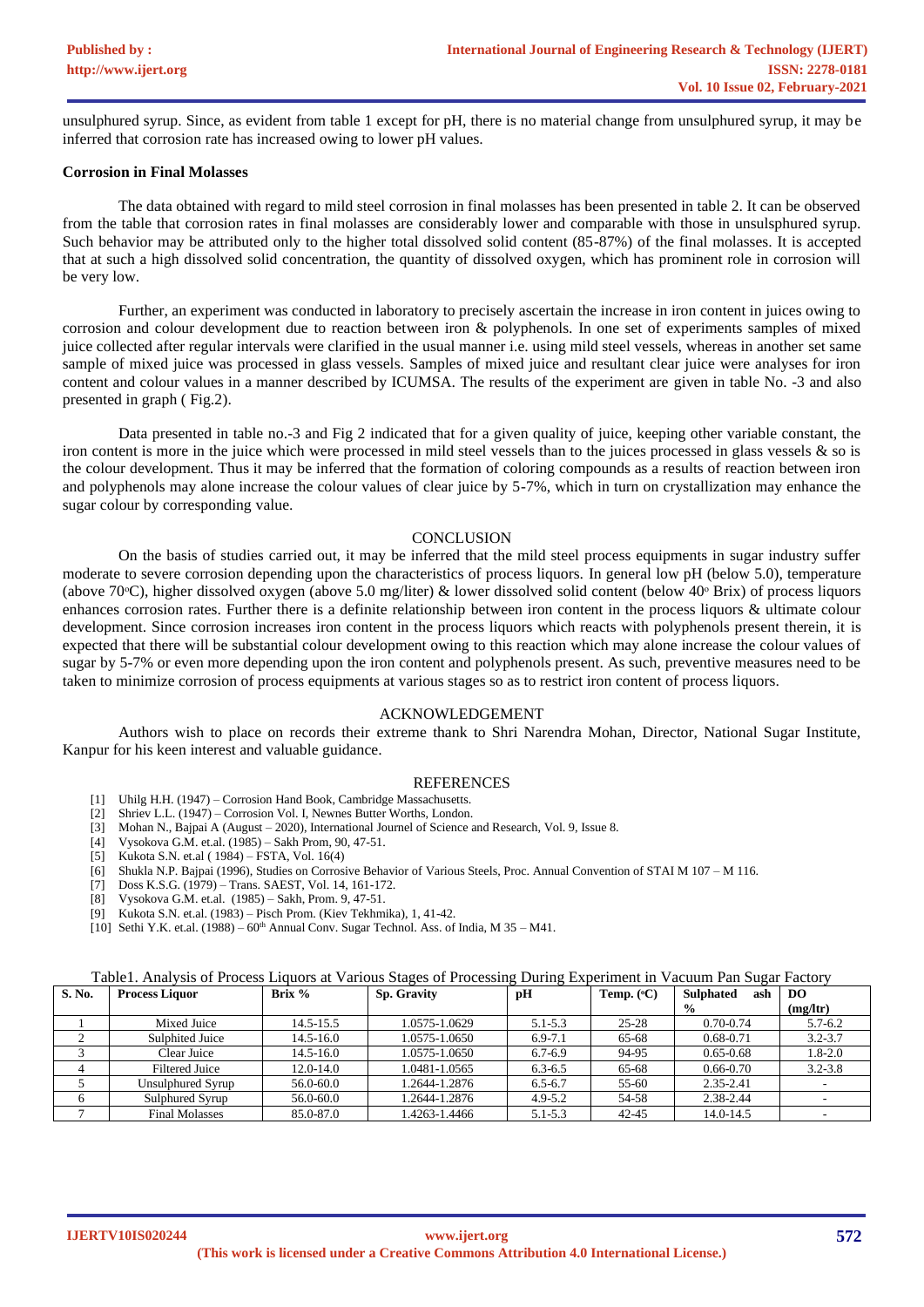unsulphured syrup. Since, as evident from table 1 except for pH, there is no material change from unsulphured syrup, it may be inferred that corrosion rate has increased owing to lower pH values.

#### **Corrosion in Final Molasses**

The data obtained with regard to mild steel corrosion in final molasses has been presented in table 2. It can be observed from the table that corrosion rates in final molasses are considerably lower and comparable with those in unsulsphured syrup. Such behavior may be attributed only to the higher total dissolved solid content (85-87%) of the final molasses. It is accepted that at such a high dissolved solid concentration, the quantity of dissolved oxygen, which has prominent role in corrosion will be very low.

Further, an experiment was conducted in laboratory to precisely ascertain the increase in iron content in juices owing to corrosion and colour development due to reaction between iron & polyphenols. In one set of experiments samples of mixed juice collected after regular intervals were clarified in the usual manner i.e. using mild steel vessels, whereas in another set same sample of mixed juice was processed in glass vessels. Samples of mixed juice and resultant clear juice were analyses for iron content and colour values in a manner described by ICUMSA. The results of the experiment are given in table No. -3 and also presented in graph ( Fig.2).

Data presented in table no.-3 and Fig 2 indicated that for a given quality of juice, keeping other variable constant, the iron content is more in the juice which were processed in mild steel vessels than to the juices processed in glass vessels & so is the colour development. Thus it may be inferred that the formation of coloring compounds as a results of reaction between iron and polyphenols may alone increase the colour values of clear juice by 5-7%, which in turn on crystallization may enhance the sugar colour by corresponding value.

# **CONCLUSION**

On the basis of studies carried out, it may be inferred that the mild steel process equipments in sugar industry suffer moderate to severe corrosion depending upon the characteristics of process liquors. In general low pH (below 5.0), temperature (above 70 $\degree$ C), higher dissolved oxygen (above 5.0 mg/liter) & lower dissolved solid content (below 40 $\degree$  Brix) of process liquors enhances corrosion rates. Further there is a definite relationship between iron content in the process liquors & ultimate colour development. Since corrosion increases iron content in the process liquors which reacts with polyphenols present therein, it is expected that there will be substantial colour development owing to this reaction which may alone increase the colour values of sugar by 5-7% or even more depending upon the iron content and polyphenols present. As such, preventive measures need to be taken to minimize corrosion of process equipments at various stages so as to restrict iron content of process liquors.

#### ACKNOWLEDGEMENT

Authors wish to place on records their extreme thank to Shri Narendra Mohan, Director, National Sugar Institute, Kanpur for his keen interest and valuable guidance.

#### REFERENCES

- [1] Uhilg H.H. (1947) Corrosion Hand Book, Cambridge Massachusetts.
- [2] Shriev L.L. (1947) Corrosion Vol. I, Newnes Butter Worths, London.
- [3] Mohan N., Bajpai A (August 2020), International Journel of Science and Research, Vol. 9, Issue 8.
- Vysokova G.M. et.al. (1985) Sakh Prom, 90, 47-51.
- [5] Kukota S.N. et.al ( 1984) FSTA, Vol. 16(4)
- [6] Shukla N.P. Bajpai (1996), Studies on Corrosive Behavior of Various Steels, Proc. Annual Convention of STAI M 107 M 116.
- [7] Doss K.S.G. (1979) Trans. SAEST, Vol. 14, 161-172.
- [8] Vysokova G.M. et.al. (1985) Sakh, Prom. 9, 47-51.

[9] Kukota S.N. et.al. (1983) – Pisch Prom. (Kiev Tekhmika), 1, 41-42.

[10] Sethi Y.K. et.al.  $(1988) - 60$ <sup>th</sup> Annual Conv. Sugar Technol. Ass. of India, M 35 – M41.

| Table1. Analysis of Process Liquors at Various Stages of Processing During Experiment in Vacuum Pan Sugar Factory |  |  |
|-------------------------------------------------------------------------------------------------------------------|--|--|
|                                                                                                                   |  |  |

| S. No. | <b>Process Liquor</b> | Brix $%$      | <b>Sp. Gravity</b> | pH          | Temp. $({}^{\circ}C)$ | <b>Sulphated</b><br>ash | DO          |
|--------|-----------------------|---------------|--------------------|-------------|-----------------------|-------------------------|-------------|
|        |                       |               |                    |             |                       | $\frac{0}{0}$           | (mg/ltr)    |
|        | Mixed Juice           | 14.5-15.5     | 1.0575-1.0629      | $5.1 - 5.3$ | $25 - 28$             | $0.70 - 0.74$           | $5.7 - 6.2$ |
|        | Sulphited Juice       | $14.5 - 16.0$ | 1.0575-1.0650      | $6.9 - 7.1$ | 65-68                 | $0.68 - 0.71$           | $3.2 - 3.7$ |
|        | Clear Juice           | $14.5 - 16.0$ | 1.0575-1.0650      | $6.7 - 6.9$ | 94-95                 | $0.65 - 0.68$           | $1.8 - 2.0$ |
|        | <b>Filtered Juice</b> | $12.0 - 14.0$ | 1.0481-1.0565      | $6.3 - 6.5$ | 65-68                 | $0.66 - 0.70$           | $3.2 - 3.8$ |
|        | Unsulphured Svrup     | 56.0-60.0     | 1.2644-1.2876      | $6.5 - 6.7$ | 55-60                 | 2.35-2.41               |             |
|        | Sulphured Syrup       | 56.0-60.0     | 1.2644-1.2876      | $4.9 - 5.2$ | 54-58                 | 2.38-2.44               |             |
|        | <b>Final Molasses</b> | 85.0-87.0     | 1.4263-1.4466      | $5.1 - 5.3$ | $42 - 45$             | 14.0-14.5               |             |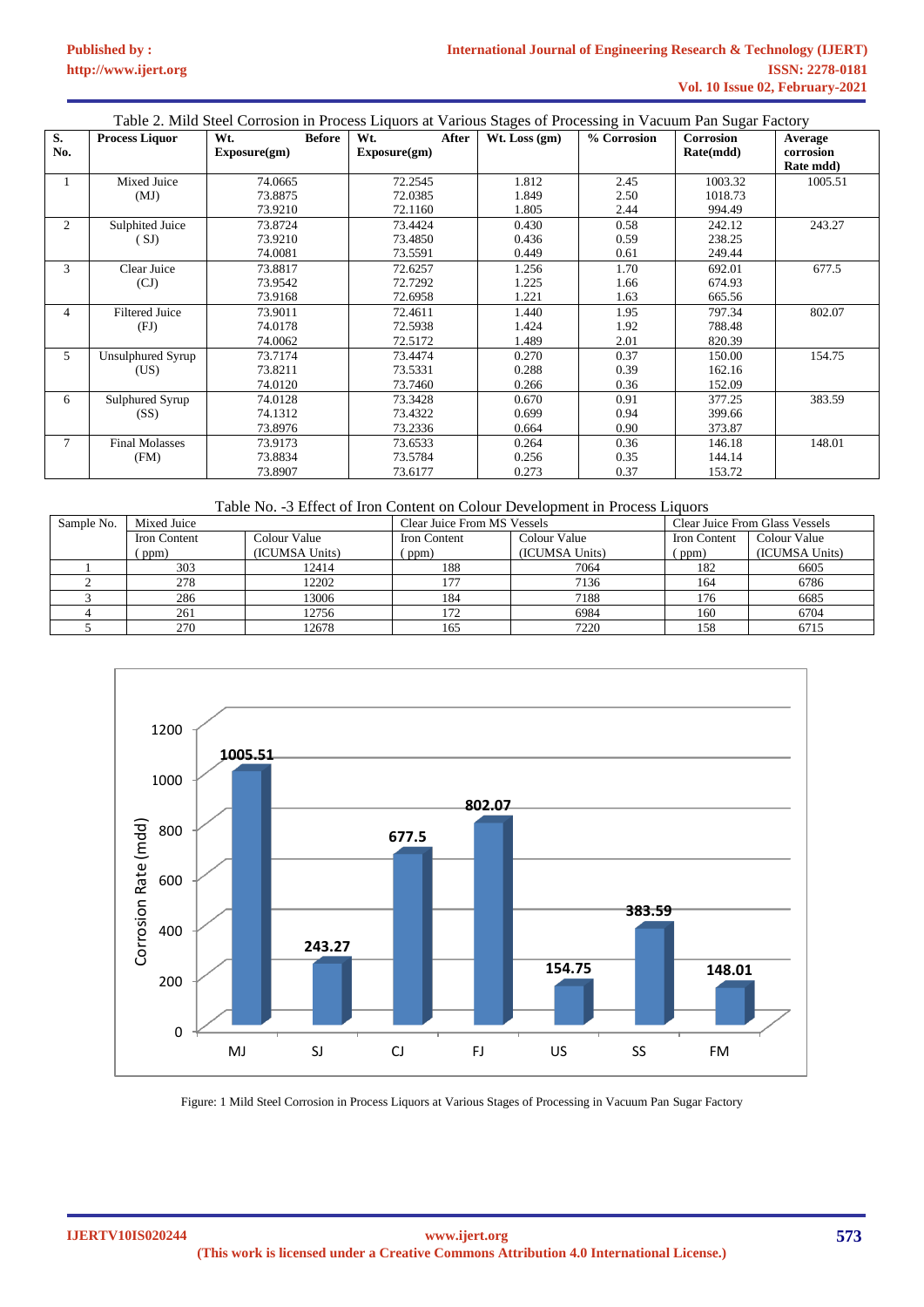**[Published by :](www.ijert.org)**

|           | Table 2. Mild Steel Corrosion in Process Liquors at Various Stages of Processing in Vacuum Pan Sugar Factory |                                      |                               |                         |                      |                               |                                   |  |
|-----------|--------------------------------------------------------------------------------------------------------------|--------------------------------------|-------------------------------|-------------------------|----------------------|-------------------------------|-----------------------------------|--|
| S.<br>No. | <b>Process Liquor</b>                                                                                        | <b>Before</b><br>Wt.<br>Exposure(gm) | Wt.<br>After<br>Exposure(gm)  | $Wt$ . Loss $(gm)$      | % Corrosion          | <b>Corrosion</b><br>Rate(mdd) | Average<br>corrosion<br>Rate mdd) |  |
|           | Mixed Juice<br>(MJ)                                                                                          | 74.0665<br>73.8875<br>73.9210        | 72.2545<br>72.0385<br>72.1160 | 1.812<br>1.849<br>1.805 | 2.45<br>2.50<br>2.44 | 1003.32<br>1018.73<br>994.49  | 1005.51                           |  |
| 2         | Sulphited Juice<br>(SJ)                                                                                      | 73.8724<br>73.9210<br>74.0081        | 73.4424<br>73.4850<br>73.5591 | 0.430<br>0.436<br>0.449 | 0.58<br>0.59<br>0.61 | 242.12<br>238.25<br>249.44    | 243.27                            |  |
| 3         | Clear Juice<br>(CJ)                                                                                          | 73.8817<br>73.9542<br>73.9168        | 72.6257<br>72.7292<br>72.6958 | 1.256<br>1.225<br>1.221 | 1.70<br>1.66<br>1.63 | 692.01<br>674.93<br>665.56    | 677.5                             |  |
| 4         | <b>Filtered Juice</b><br>(FJ)                                                                                | 73.9011<br>74.0178<br>74.0062        | 72.4611<br>72.5938<br>72.5172 | 1.440<br>1.424<br>1.489 | 1.95<br>1.92<br>2.01 | 797.34<br>788.48<br>820.39    | 802.07                            |  |
| 5         | Unsulphured Syrup<br>(US)                                                                                    | 73.7174<br>73.8211<br>74.0120        | 73.4474<br>73.5331<br>73.7460 | 0.270<br>0.288<br>0.266 | 0.37<br>0.39<br>0.36 | 150.00<br>162.16<br>152.09    | 154.75                            |  |
| 6         | Sulphured Syrup<br>(SS)                                                                                      | 74.0128<br>74.1312<br>73.8976        | 73.3428<br>73.4322<br>73.2336 | 0.670<br>0.699<br>0.664 | 0.91<br>0.94<br>0.90 | 377.25<br>399.66<br>373.87    | 383.59                            |  |
| 7         | <b>Final Molasses</b><br>(FM)                                                                                | 73.9173<br>73.8834<br>73.8907        | 73.6533<br>73.5784<br>73.6177 | 0.264<br>0.256<br>0.273 | 0.36<br>0.35<br>0.37 | 146.18<br>144.14<br>153.72    | 148.01                            |  |

# Table No. -3 Effect of Iron Content on Colour Development in Process Liquors

| Sample No. | Mixed Juice  |                | Clear Juice From MS Vessels |                | Clear Juice From Glass Vessels |                |
|------------|--------------|----------------|-----------------------------|----------------|--------------------------------|----------------|
|            | Iron Content | Colour Value   | Iron Content                | Colour Value   | <b>Iron Content</b>            | Colour Value   |
|            | ppm)         | (ICUMSA Units) | ppm)                        | (ICUMSA Units) | (ppm)                          | (ICUMSA Units) |
|            | 303          | 12414          | 188                         | 7064           | 182                            | 6605           |
|            | 278          | 12202          | 177                         | 7136           | 164                            | 6786           |
|            | 286          | 13006          | 184                         | 7188           | 176                            | 6685           |
|            | 261          | 12756          | 172                         | 6984           | 160                            | 6704           |
|            | 270          | 12678          | 165                         | 7220           | 158                            | 6715           |



Figure: 1 Mild Steel Corrosion in Process Liquors at Various Stages of Processing in Vacuum Pan Sugar Factory